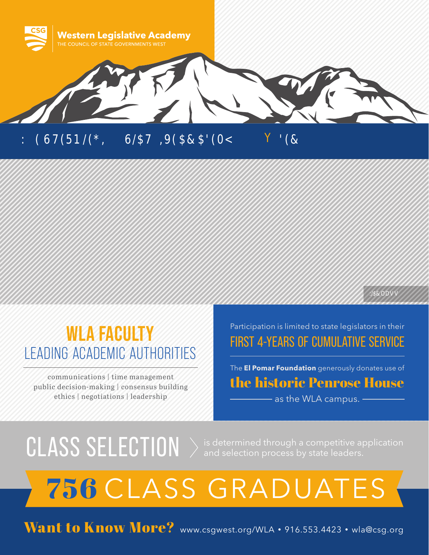

## **WLA FACULTY** LEADING ACADEMIC AUTHORITIES

communications | time management public decision-making | consensus building ethics | negotiations | leadership

#### Participation is limited to state legislators in their FIRST 4-YEARS OF CUMULATIVE SERVICE

:/\$&ODV

The **El Pomar Foundation** generously donates use of the historic Penrose House **Allenge 2 as the WLA campus.** -

## $CLASS SELECTION  $\rangle$  is determined through a competitive application and selection process by state leaders.$

# 756 CLASS GRADUATES

Want to Know More? www.csgwest.org/WLA · 916.553.4423 · wla@csg.org